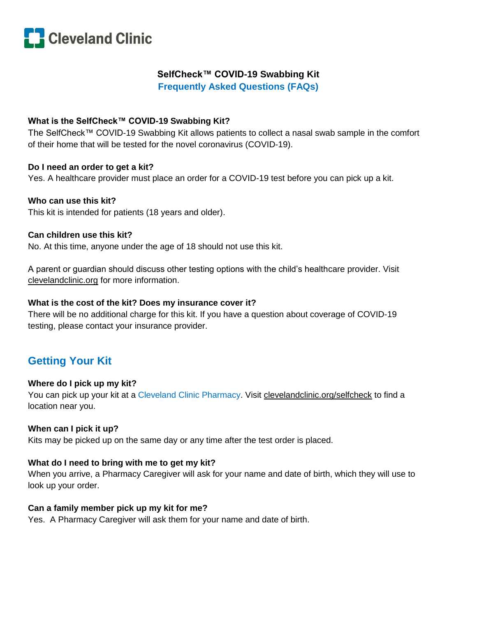

## **SelfCheck™ COVID-19 Swabbing Kit**

**Frequently Asked Questions (FAQs)**

## **What is the SelfCheck™ COVID-19 Swabbing Kit?**

The SelfCheck™ COVID-19 Swabbing Kit allows patients to collect a nasal swab sample in the comfort of their home that will be tested for the novel coronavirus (COVID-19).

## **Do I need an order to get a kit?**

Yes. A healthcare provider must place an order for a COVID-19 test before you can pick up a kit.

## **Who can use this kit?**

This kit is intended for patients (18 years and older).

## **Can children use this kit?**

No. At this time, anyone under the age of 18 should not use this kit.

A parent or guardian should discuss other testing options with the child's healthcare provider. Visit clevelandclinic.org for more information.

## **What is the cost of the kit? Does my insurance cover it?**

There will be no additional charge for this kit. If you have a question about coverage of COVID-19 testing, please contact your insurance provider.

# **Getting Your Kit**

## **Where do I pick up my kit?**

You can pick up your kit at a Cleveland Clinic Pharmacy. Visit clevelandclinic.org/selfcheck to find a location near you.

## **When can I pick it up?**

Kits may be picked up on the same day or any time after the test order is placed.

## **What do I need to bring with me to get my kit?**

When you arrive, a Pharmacy Caregiver will ask for your name and date of birth, which they will use to look up your order.

## **Can a family member pick up my kit for me?**

Yes. A Pharmacy Caregiver will ask them for your name and date of birth.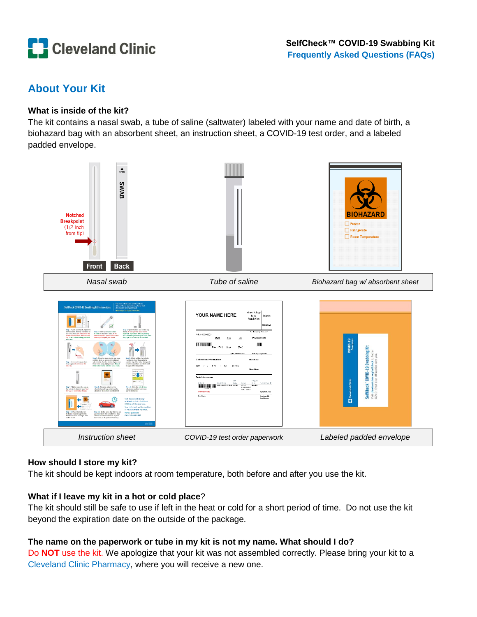

# **About Your Kit**

## **What is inside of the kit?**

The kit contains a nasal swab, a tube of saline (saltwater) labeled with your name and date of birth, a biohazard bag with an absorbent sheet, an instruction sheet, a COVID-19 test order, and a labeled padded envelope.



## **How should I store my kit?**

The kit should be kept indoors at room temperature, both before and after you use the kit.

## **What if I leave my kit in a hot or cold place**?

The kit should still be safe to use if left in the heat or cold for a short period of time. Do not use the kit beyond the expiration date on the outside of the package.

## **The name on the paperwork or tube in my kit is not my name. What should I do?**

Do **NOT** use the kit. We apologize that your kit was not assembled correctly. Please bring your kit to a Cleveland Clinic Pharmacy, where you will receive a new one.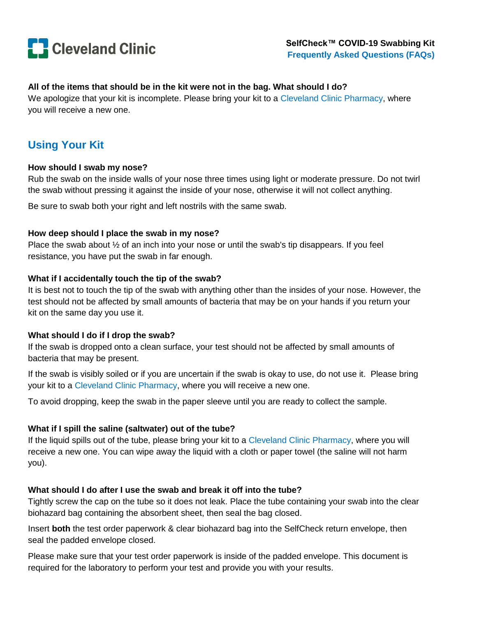

## **All of the items that should be in the kit were not in the bag. What should I do?**

We apologize that your kit is incomplete. Please bring your kit to a Cleveland Clinic Pharmacy, where you will receive a new one.

## **Using Your Kit**

#### **How should I swab my nose?**

Rub the swab on the inside walls of your nose three times using light or moderate pressure. Do not twirl the swab without pressing it against the inside of your nose, otherwise it will not collect anything.

Be sure to swab both your right and left nostrils with the same swab.

#### **How deep should I place the swab in my nose?**

Place the swab about  $\frac{1}{2}$  of an inch into your nose or until the swab's tip disappears. If you feel resistance, you have put the swab in far enough.

#### **What if I accidentally touch the tip of the swab?**

It is best not to touch the tip of the swab with anything other than the insides of your nose. However, the test should not be affected by small amounts of bacteria that may be on your hands if you return your kit on the same day you use it.

#### **What should I do if I drop the swab?**

If the swab is dropped onto a clean surface, your test should not be affected by small amounts of bacteria that may be present.

If the swab is visibly soiled or if you are uncertain if the swab is okay to use, do not use it. Please bring your kit to a Cleveland Clinic Pharmacy, where you will receive a new one.

To avoid dropping, keep the swab in the paper sleeve until you are ready to collect the sample.

#### **What if I spill the saline (saltwater) out of the tube?**

If the liquid spills out of the tube, please bring your kit to a Cleveland Clinic Pharmacy, where you will receive a new one. You can wipe away the liquid with a cloth or paper towel (the saline will not harm you).

#### **What should I do after I use the swab and break it off into the tube?**

Tightly screw the cap on the tube so it does not leak. Place the tube containing your swab into the clear biohazard bag containing the absorbent sheet, then seal the bag closed.

Insert **both** the test order paperwork & clear biohazard bag into the SelfCheck return envelope, then seal the padded envelope closed.

Please make sure that your test order paperwork is inside of the padded envelope. This document is required for the laboratory to perform your test and provide you with your results.